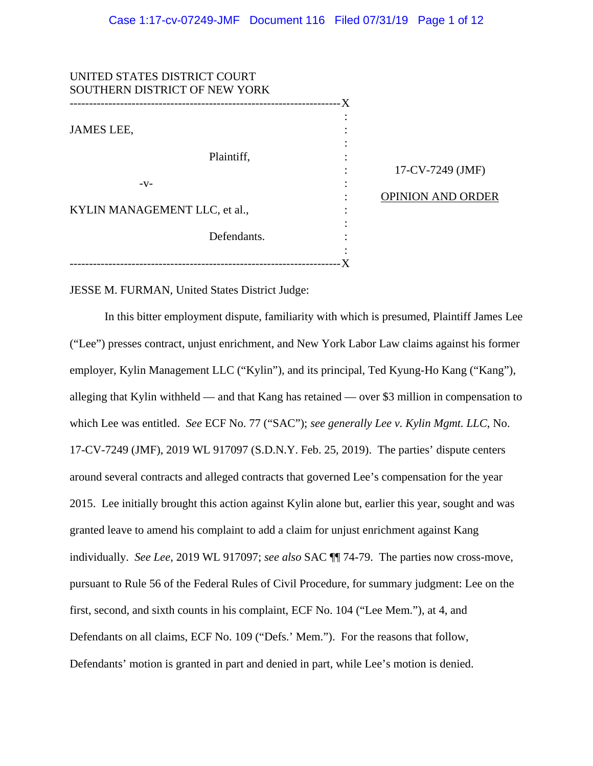| UNITED STATES DISTRICT COURT                                |                         |                          |
|-------------------------------------------------------------|-------------------------|--------------------------|
| SOUTHERN DISTRICT OF NEW YORK<br>-------------------------- | ----------------------X |                          |
|                                                             |                         |                          |
| <b>JAMES LEE,</b>                                           |                         |                          |
| Plaintiff,                                                  |                         |                          |
|                                                             |                         | 17-CV-7249 (JMF)         |
| $-V-$                                                       |                         | <b>OPINION AND ORDER</b> |
| KYLIN MANAGEMENT LLC, et al.,                               |                         |                          |
| Defendants.                                                 |                         |                          |
|                                                             |                         |                          |

JESSE M. FURMAN, United States District Judge:

In this bitter employment dispute, familiarity with which is presumed, Plaintiff James Lee ("Lee") presses contract, unjust enrichment, and New York Labor Law claims against his former employer, Kylin Management LLC ("Kylin"), and its principal, Ted Kyung-Ho Kang ("Kang"), alleging that Kylin withheld — and that Kang has retained — over \$3 million in compensation to which Lee was entitled. *See* ECF No. 77 ("SAC"); *see generally Lee v. Kylin Mgmt. LLC*, No. 17-CV-7249 (JMF), 2019 WL 917097 (S.D.N.Y. Feb. 25, 2019). The parties' dispute centers around several contracts and alleged contracts that governed Lee's compensation for the year 2015. Lee initially brought this action against Kylin alone but, earlier this year, sought and was granted leave to amend his complaint to add a claim for unjust enrichment against Kang individually. *See Lee*, 2019 WL 917097; *see also* SAC ¶¶ 74-79. The parties now cross-move, pursuant to Rule 56 of the Federal Rules of Civil Procedure, for summary judgment: Lee on the first, second, and sixth counts in his complaint, ECF No. 104 ("Lee Mem."), at 4, and Defendants on all claims, ECF No. 109 ("Defs.' Mem."). For the reasons that follow, Defendants' motion is granted in part and denied in part, while Lee's motion is denied.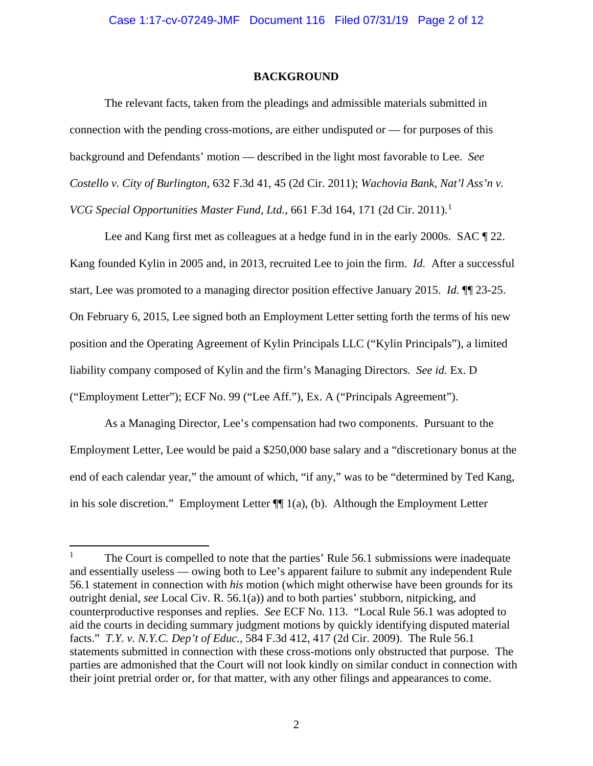# **BACKGROUND**

The relevant facts, taken from the pleadings and admissible materials submitted in connection with the pending cross-motions, are either undisputed or — for purposes of this background and Defendants' motion — described in the light most favorable to Lee. *See Costello v. City of Burlington*, 632 F.3d 41, 45 (2d Cir. 2011); *Wachovia Bank, Nat'l Ass'n v. VCG Special Opportunities Master Fund, Ltd.*, 661 F.3d 164, 171 (2d Cir. 2011).<sup>1</sup>

Lee and Kang first met as colleagues at a hedge fund in in the early 2000s. SAC ¶ 22. Kang founded Kylin in 2005 and, in 2013, recruited Lee to join the firm. *Id.* After a successful start, Lee was promoted to a managing director position effective January 2015. *Id.* ¶¶ 23-25. On February 6, 2015, Lee signed both an Employment Letter setting forth the terms of his new position and the Operating Agreement of Kylin Principals LLC ("Kylin Principals"), a limited liability company composed of Kylin and the firm's Managing Directors. *See id.* Ex. D ("Employment Letter"); ECF No. 99 ("Lee Aff."), Ex. A ("Principals Agreement").

As a Managing Director, Lee's compensation had two components. Pursuant to the Employment Letter, Lee would be paid a \$250,000 base salary and a "discretionary bonus at the end of each calendar year," the amount of which, "if any," was to be "determined by Ted Kang, in his sole discretion." Employment Letter  $\P$ [1(a), (b). Although the Employment Letter

<sup>&</sup>lt;sup>1</sup> The Court is compelled to note that the parties' Rule 56.1 submissions were inadequate and essentially useless — owing both to Lee's apparent failure to submit any independent Rule 56.1 statement in connection with *his* motion (which might otherwise have been grounds for its outright denial, *see* Local Civ. R. 56.1(a)) and to both parties' stubborn, nitpicking, and counterproductive responses and replies. *See* ECF No. 113. "Local Rule 56.1 was adopted to aid the courts in deciding summary judgment motions by quickly identifying disputed material facts." *T.Y. v. N.Y.C. Dep't of Educ.*, 584 F.3d 412, 417 (2d Cir. 2009). The Rule 56.1 statements submitted in connection with these cross-motions only obstructed that purpose. The parties are admonished that the Court will not look kindly on similar conduct in connection with their joint pretrial order or, for that matter, with any other filings and appearances to come.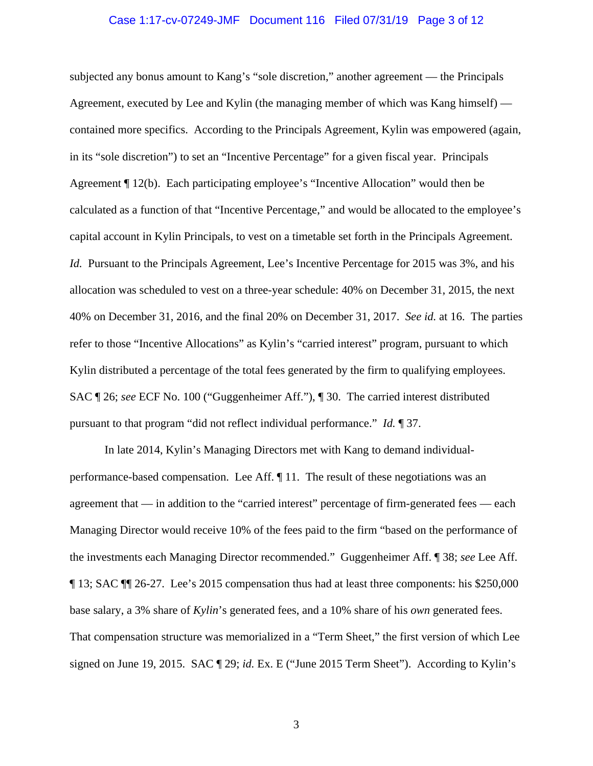## Case 1:17-cv-07249-JMF Document 116 Filed 07/31/19 Page 3 of 12

subjected any bonus amount to Kang's "sole discretion," another agreement — the Principals Agreement, executed by Lee and Kylin (the managing member of which was Kang himself) contained more specifics. According to the Principals Agreement, Kylin was empowered (again, in its "sole discretion") to set an "Incentive Percentage" for a given fiscal year. Principals Agreement ¶ 12(b). Each participating employee's "Incentive Allocation" would then be calculated as a function of that "Incentive Percentage," and would be allocated to the employee's capital account in Kylin Principals, to vest on a timetable set forth in the Principals Agreement. *Id.* Pursuant to the Principals Agreement, Lee's Incentive Percentage for 2015 was 3%, and his allocation was scheduled to vest on a three-year schedule: 40% on December 31, 2015, the next 40% on December 31, 2016, and the final 20% on December 31, 2017. *See id.* at 16. The parties refer to those "Incentive Allocations" as Kylin's "carried interest" program, pursuant to which Kylin distributed a percentage of the total fees generated by the firm to qualifying employees. SAC ¶ 26; *see* ECF No. 100 ("Guggenheimer Aff."), ¶ 30. The carried interest distributed pursuant to that program "did not reflect individual performance." *Id.* ¶ 37.

In late 2014, Kylin's Managing Directors met with Kang to demand individualperformance-based compensation. Lee Aff. ¶ 11. The result of these negotiations was an agreement that — in addition to the "carried interest" percentage of firm-generated fees — each Managing Director would receive 10% of the fees paid to the firm "based on the performance of the investments each Managing Director recommended." Guggenheimer Aff. ¶ 38; *see* Lee Aff. ¶ 13; SAC ¶¶ 26-27. Lee's 2015 compensation thus had at least three components: his \$250,000 base salary, a 3% share of *Kylin*'s generated fees, and a 10% share of his *own* generated fees. That compensation structure was memorialized in a "Term Sheet," the first version of which Lee signed on June 19, 2015. SAC ¶ 29; *id.* Ex. E ("June 2015 Term Sheet"). According to Kylin's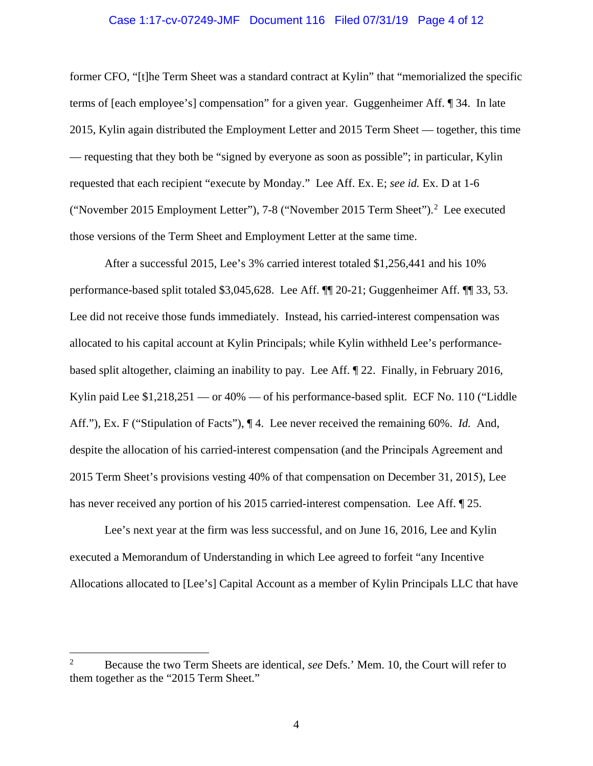## Case 1:17-cv-07249-JMF Document 116 Filed 07/31/19 Page 4 of 12

former CFO, "[t]he Term Sheet was a standard contract at Kylin" that "memorialized the specific terms of [each employee's] compensation" for a given year. Guggenheimer Aff. ¶ 34. In late 2015, Kylin again distributed the Employment Letter and 2015 Term Sheet — together, this time — requesting that they both be "signed by everyone as soon as possible"; in particular, Kylin requested that each recipient "execute by Monday." Lee Aff. Ex. E; *see id.* Ex. D at 1-6 ("November 2015 Employment Letter"), 7-8 ("November 2015 Term Sheet").<sup>2</sup> Lee executed those versions of the Term Sheet and Employment Letter at the same time.

After a successful 2015, Lee's 3% carried interest totaled \$1,256,441 and his 10% performance-based split totaled \$3,045,628. Lee Aff. ¶¶ 20-21; Guggenheimer Aff. ¶¶ 33, 53. Lee did not receive those funds immediately. Instead, his carried-interest compensation was allocated to his capital account at Kylin Principals; while Kylin withheld Lee's performancebased split altogether, claiming an inability to pay. Lee Aff. ¶ 22. Finally, in February 2016, Kylin paid Lee \$1,218,251 — or 40% — of his performance-based split. ECF No. 110 ("Liddle Aff."), Ex. F ("Stipulation of Facts"), ¶ 4. Lee never received the remaining 60%. *Id.* And, despite the allocation of his carried-interest compensation (and the Principals Agreement and 2015 Term Sheet's provisions vesting 40% of that compensation on December 31, 2015), Lee has never received any portion of his 2015 carried-interest compensation. Lee Aff.  $\sqrt{\ }$  25.

Lee's next year at the firm was less successful, and on June 16, 2016, Lee and Kylin executed a Memorandum of Understanding in which Lee agreed to forfeit "any Incentive Allocations allocated to [Lee's] Capital Account as a member of Kylin Principals LLC that have

<sup>2</sup> Because the two Term Sheets are identical, *see* Defs.' Mem. 10, the Court will refer to them together as the "2015 Term Sheet."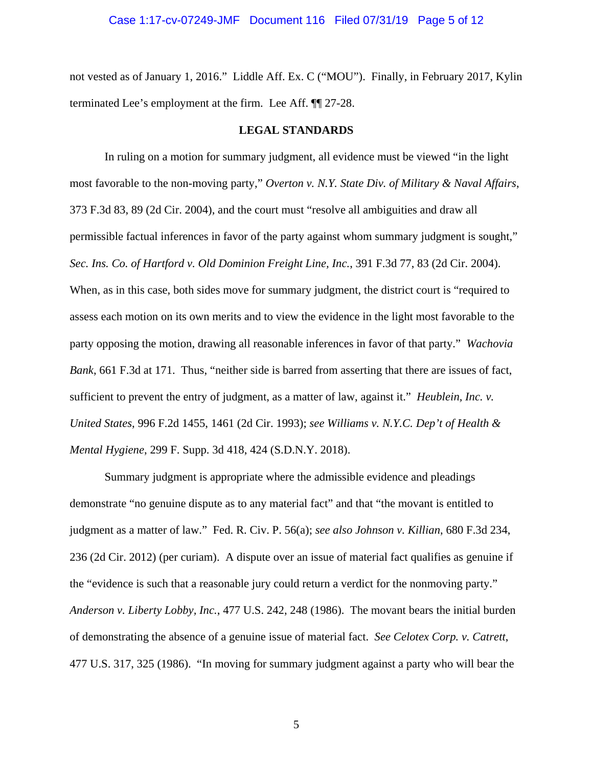not vested as of January 1, 2016." Liddle Aff. Ex. C ("MOU"). Finally, in February 2017, Kylin terminated Lee's employment at the firm. Lee Aff. ¶¶ 27-28.

# **LEGAL STANDARDS**

In ruling on a motion for summary judgment, all evidence must be viewed "in the light most favorable to the non-moving party," *Overton v. N.Y. State Div. of Military & Naval Affairs*, 373 F.3d 83, 89 (2d Cir. 2004), and the court must "resolve all ambiguities and draw all permissible factual inferences in favor of the party against whom summary judgment is sought," *Sec. Ins. Co. of Hartford v. Old Dominion Freight Line, Inc.*, 391 F.3d 77, 83 (2d Cir. 2004).

When, as in this case, both sides move for summary judgment, the district court is "required to assess each motion on its own merits and to view the evidence in the light most favorable to the party opposing the motion, drawing all reasonable inferences in favor of that party." *Wachovia Bank*, 661 F.3d at 171. Thus, "neither side is barred from asserting that there are issues of fact, sufficient to prevent the entry of judgment, as a matter of law, against it." *Heublein, Inc. v. United States*, 996 F.2d 1455, 1461 (2d Cir. 1993); *see Williams v. N.Y.C. Dep't of Health & Mental Hygiene*, 299 F. Supp. 3d 418, 424 (S.D.N.Y. 2018).

Summary judgment is appropriate where the admissible evidence and pleadings demonstrate "no genuine dispute as to any material fact" and that "the movant is entitled to judgment as a matter of law." Fed. R. Civ. P. 56(a); *see also Johnson v. Killian*, 680 F.3d 234, 236 (2d Cir. 2012) (per curiam). A dispute over an issue of material fact qualifies as genuine if the "evidence is such that a reasonable jury could return a verdict for the nonmoving party." *Anderson v. Liberty Lobby, Inc.*, 477 U.S. 242, 248 (1986). The movant bears the initial burden of demonstrating the absence of a genuine issue of material fact. *See Celotex Corp. v. Catrett*, 477 U.S. 317, 325 (1986). "In moving for summary judgment against a party who will bear the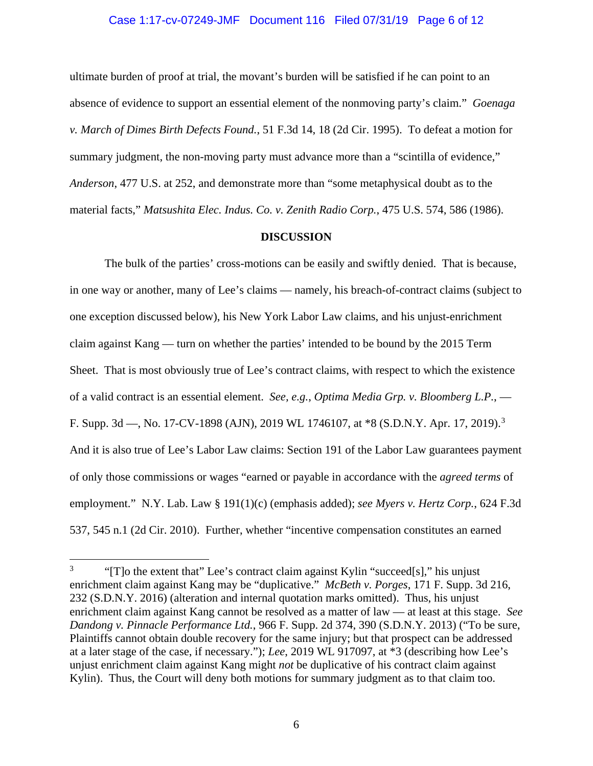# Case 1:17-cv-07249-JMF Document 116 Filed 07/31/19 Page 6 of 12

ultimate burden of proof at trial, the movant's burden will be satisfied if he can point to an absence of evidence to support an essential element of the nonmoving party's claim." *Goenaga v. March of Dimes Birth Defects Found.*, 51 F.3d 14, 18 (2d Cir. 1995). To defeat a motion for summary judgment, the non-moving party must advance more than a "scintilla of evidence," *Anderson*, 477 U.S. at 252, and demonstrate more than "some metaphysical doubt as to the material facts," *Matsushita Elec. Indus. Co. v. Zenith Radio Corp.*, 475 U.S. 574, 586 (1986).

#### **DISCUSSION**

The bulk of the parties' cross-motions can be easily and swiftly denied. That is because, in one way or another, many of Lee's claims — namely, his breach-of-contract claims (subject to one exception discussed below), his New York Labor Law claims, and his unjust-enrichment claim against Kang — turn on whether the parties' intended to be bound by the 2015 Term Sheet. That is most obviously true of Lee's contract claims, with respect to which the existence of a valid contract is an essential element. *See, e.g.*, *Optima Media Grp. v. Bloomberg L.P.*, — F. Supp. 3d —, No. 17-CV-1898 (AJN), 2019 WL 1746107, at \*8 (S.D.N.Y. Apr. 17, 2019).<sup>3</sup> And it is also true of Lee's Labor Law claims: Section 191 of the Labor Law guarantees payment of only those commissions or wages "earned or payable in accordance with the *agreed terms* of employment." N.Y. Lab. Law § 191(1)(c) (emphasis added); *see Myers v. Hertz Corp.*, 624 F.3d 537, 545 n.1 (2d Cir. 2010). Further, whether "incentive compensation constitutes an earned

<sup>&</sup>lt;sup>3</sup> "[T]o the extent that" Lee's contract claim against Kylin "succeed[s]," his unjust enrichment claim against Kang may be "duplicative." *McBeth v. Porges*, 171 F. Supp. 3d 216, 232 (S.D.N.Y. 2016) (alteration and internal quotation marks omitted). Thus, his unjust enrichment claim against Kang cannot be resolved as a matter of law — at least at this stage. *See Dandong v. Pinnacle Performance Ltd.*, 966 F. Supp. 2d 374, 390 (S.D.N.Y. 2013) ("To be sure, Plaintiffs cannot obtain double recovery for the same injury; but that prospect can be addressed at a later stage of the case, if necessary."); *Lee*, 2019 WL 917097, at \*3 (describing how Lee's unjust enrichment claim against Kang might *not* be duplicative of his contract claim against Kylin). Thus, the Court will deny both motions for summary judgment as to that claim too.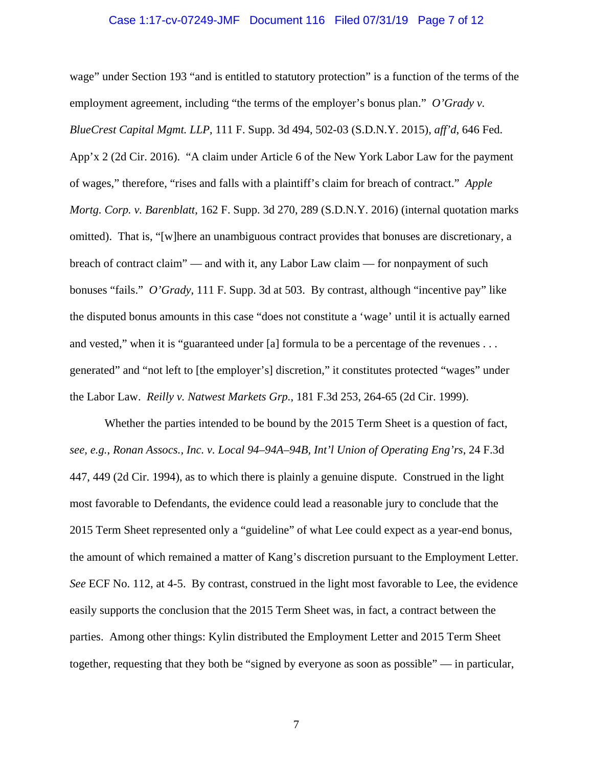#### Case 1:17-cv-07249-JMF Document 116 Filed 07/31/19 Page 7 of 12

wage" under Section 193 "and is entitled to statutory protection" is a function of the terms of the employment agreement, including "the terms of the employer's bonus plan." *O'Grady v*. *BlueCrest Capital Mgmt. LLP*, 111 F. Supp. 3d 494, 502-03 (S.D.N.Y. 2015), *aff'd*, 646 Fed. App'x 2 (2d Cir. 2016). "A claim under Article 6 of the New York Labor Law for the payment of wages," therefore, "rises and falls with a plaintiff's claim for breach of contract." *Apple Mortg. Corp. v. Barenblatt*, 162 F. Supp. 3d 270, 289 (S.D.N.Y. 2016) (internal quotation marks omitted). That is, "[w]here an unambiguous contract provides that bonuses are discretionary, a breach of contract claim" — and with it, any Labor Law claim — for nonpayment of such bonuses "fails." *O'Grady*, 111 F. Supp. 3d at 503. By contrast, although "incentive pay" like the disputed bonus amounts in this case "does not constitute a 'wage' until it is actually earned and vested," when it is "guaranteed under [a] formula to be a percentage of the revenues . . . generated" and "not left to [the employer's] discretion," it constitutes protected "wages" under the Labor Law. *Reilly v. Natwest Markets Grp.*, 181 F.3d 253, 264-65 (2d Cir. 1999).

Whether the parties intended to be bound by the 2015 Term Sheet is a question of fact, *see, e.g.*, *Ronan Assocs., Inc. v. Local 94–94A–94B, Int'l Union of Operating Eng'rs*, 24 F.3d 447, 449 (2d Cir. 1994), as to which there is plainly a genuine dispute. Construed in the light most favorable to Defendants, the evidence could lead a reasonable jury to conclude that the 2015 Term Sheet represented only a "guideline" of what Lee could expect as a year-end bonus, the amount of which remained a matter of Kang's discretion pursuant to the Employment Letter. *See* ECF No. 112, at 4-5. By contrast, construed in the light most favorable to Lee, the evidence easily supports the conclusion that the 2015 Term Sheet was, in fact, a contract between the parties. Among other things: Kylin distributed the Employment Letter and 2015 Term Sheet together, requesting that they both be "signed by everyone as soon as possible" — in particular,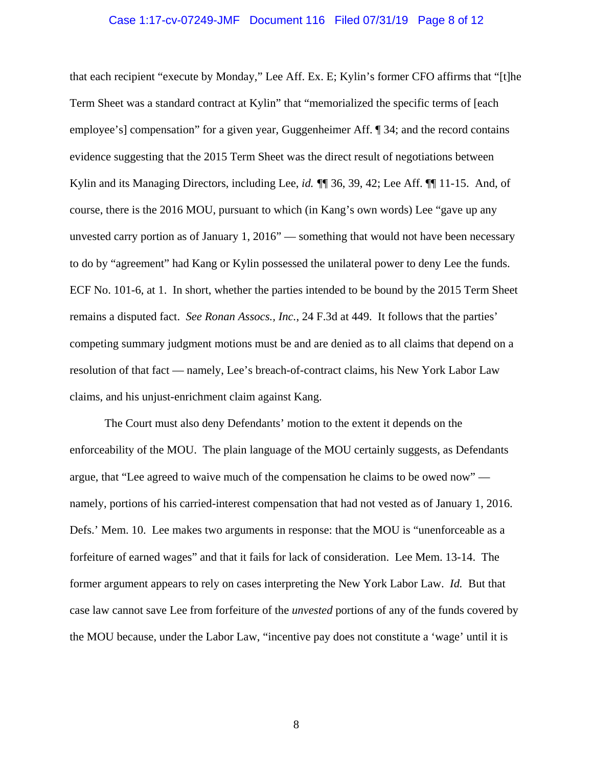#### Case 1:17-cv-07249-JMF Document 116 Filed 07/31/19 Page 8 of 12

that each recipient "execute by Monday," Lee Aff. Ex. E; Kylin's former CFO affirms that "[t]he Term Sheet was a standard contract at Kylin" that "memorialized the specific terms of [each employee's] compensation" for a given year, Guggenheimer Aff. ¶ 34; and the record contains evidence suggesting that the 2015 Term Sheet was the direct result of negotiations between Kylin and its Managing Directors, including Lee, *id. ¶*¶ 36, 39, 42; Lee Aff. ¶¶ 11-15. And, of course, there is the 2016 MOU, pursuant to which (in Kang's own words) Lee "gave up any unvested carry portion as of January 1, 2016" — something that would not have been necessary to do by "agreement" had Kang or Kylin possessed the unilateral power to deny Lee the funds. ECF No. 101-6, at 1. In short, whether the parties intended to be bound by the 2015 Term Sheet remains a disputed fact. *See Ronan Assocs., Inc.*, 24 F.3d at 449. It follows that the parties' competing summary judgment motions must be and are denied as to all claims that depend on a resolution of that fact — namely, Lee's breach-of-contract claims, his New York Labor Law claims, and his unjust-enrichment claim against Kang.

The Court must also deny Defendants' motion to the extent it depends on the enforceability of the MOU. The plain language of the MOU certainly suggests, as Defendants argue, that "Lee agreed to waive much of the compensation he claims to be owed now" namely, portions of his carried-interest compensation that had not vested as of January 1, 2016. Defs.' Mem. 10. Lee makes two arguments in response: that the MOU is "unenforceable as a forfeiture of earned wages" and that it fails for lack of consideration. Lee Mem. 13-14. The former argument appears to rely on cases interpreting the New York Labor Law. *Id.* But that case law cannot save Lee from forfeiture of the *unvested* portions of any of the funds covered by the MOU because, under the Labor Law, "incentive pay does not constitute a 'wage' until it is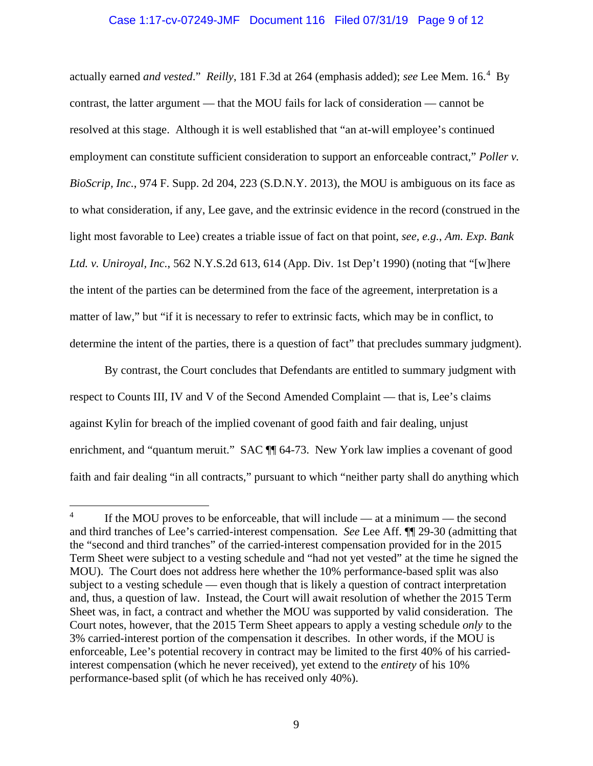# Case 1:17-cv-07249-JMF Document 116 Filed 07/31/19 Page 9 of 12

actually earned *and vested*." *Reilly*, 181 F.3d at 264 (emphasis added); *see* Lee Mem. 16.<sup>4</sup> By contrast, the latter argument — that the MOU fails for lack of consideration — cannot be resolved at this stage. Although it is well established that "an at-will employee's continued employment can constitute sufficient consideration to support an enforceable contract," *Poller v. BioScrip, Inc.*, 974 F. Supp. 2d 204, 223 (S.D.N.Y. 2013), the MOU is ambiguous on its face as to what consideration, if any, Lee gave, and the extrinsic evidence in the record (construed in the light most favorable to Lee) creates a triable issue of fact on that point, *see, e.g.*, *Am. Exp. Bank Ltd. v. Uniroyal, Inc.*, 562 N.Y.S.2d 613, 614 (App. Div. 1st Dep't 1990) (noting that "[w]here the intent of the parties can be determined from the face of the agreement, interpretation is a matter of law," but "if it is necessary to refer to extrinsic facts, which may be in conflict, to determine the intent of the parties, there is a question of fact" that precludes summary judgment).

By contrast, the Court concludes that Defendants are entitled to summary judgment with respect to Counts III, IV and V of the Second Amended Complaint — that is, Lee's claims against Kylin for breach of the implied covenant of good faith and fair dealing, unjust enrichment, and "quantum meruit." SAC ¶ 64-73. New York law implies a covenant of good faith and fair dealing "in all contracts," pursuant to which "neither party shall do anything which

<sup>&</sup>lt;sup>4</sup> If the MOU proves to be enforceable, that will include — at a minimum — the second and third tranches of Lee's carried-interest compensation. *See* Lee Aff. ¶¶ 29-30 (admitting that the "second and third tranches" of the carried-interest compensation provided for in the 2015 Term Sheet were subject to a vesting schedule and "had not yet vested" at the time he signed the MOU). The Court does not address here whether the 10% performance-based split was also subject to a vesting schedule — even though that is likely a question of contract interpretation and, thus, a question of law. Instead, the Court will await resolution of whether the 2015 Term Sheet was, in fact, a contract and whether the MOU was supported by valid consideration. The Court notes, however, that the 2015 Term Sheet appears to apply a vesting schedule *only* to the 3% carried-interest portion of the compensation it describes. In other words, if the MOU is enforceable, Lee's potential recovery in contract may be limited to the first 40% of his carriedinterest compensation (which he never received), yet extend to the *entirety* of his 10% performance-based split (of which he has received only 40%).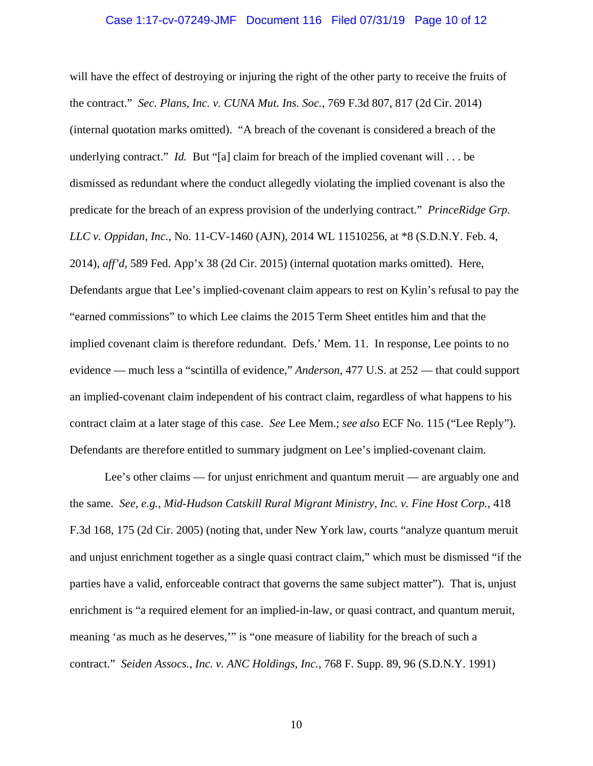## Case 1:17-cv-07249-JMF Document 116 Filed 07/31/19 Page 10 of 12

will have the effect of destroying or injuring the right of the other party to receive the fruits of the contract." *Sec. Plans, Inc. v. CUNA Mut. Ins. Soc.*, 769 F.3d 807, 817 (2d Cir. 2014) (internal quotation marks omitted). "A breach of the covenant is considered a breach of the underlying contract." *Id.* But "[a] claim for breach of the implied covenant will . . . be dismissed as redundant where the conduct allegedly violating the implied covenant is also the predicate for the breach of an express provision of the underlying contract." *PrinceRidge Grp. LLC v. Oppidan, Inc.*, No. 11-CV-1460 (AJN), 2014 WL 11510256, at \*8 (S.D.N.Y. Feb. 4, 2014), *aff'd*, 589 Fed. App'x 38 (2d Cir. 2015) (internal quotation marks omitted). Here, Defendants argue that Lee's implied-covenant claim appears to rest on Kylin's refusal to pay the "earned commissions" to which Lee claims the 2015 Term Sheet entitles him and that the implied covenant claim is therefore redundant. Defs.' Mem. 11. In response, Lee points to no evidence — much less a "scintilla of evidence," *Anderson*, 477 U.S. at 252 — that could support an implied-covenant claim independent of his contract claim, regardless of what happens to his contract claim at a later stage of this case. *See* Lee Mem.; *see also* ECF No. 115 ("Lee Reply"). Defendants are therefore entitled to summary judgment on Lee's implied-covenant claim.

Lee's other claims — for unjust enrichment and quantum meruit — are arguably one and the same. *See, e.g.*, *Mid-Hudson Catskill Rural Migrant Ministry, Inc. v. Fine Host Corp.*, 418 F.3d 168, 175 (2d Cir. 2005) (noting that, under New York law, courts "analyze quantum meruit and unjust enrichment together as a single quasi contract claim," which must be dismissed "if the parties have a valid, enforceable contract that governs the same subject matter"). That is, unjust enrichment is "a required element for an implied-in-law, or quasi contract, and quantum meruit, meaning 'as much as he deserves,'" is "one measure of liability for the breach of such a contract." *Seiden Assocs., Inc. v. ANC Holdings, Inc.*, 768 F. Supp. 89, 96 (S.D.N.Y. 1991)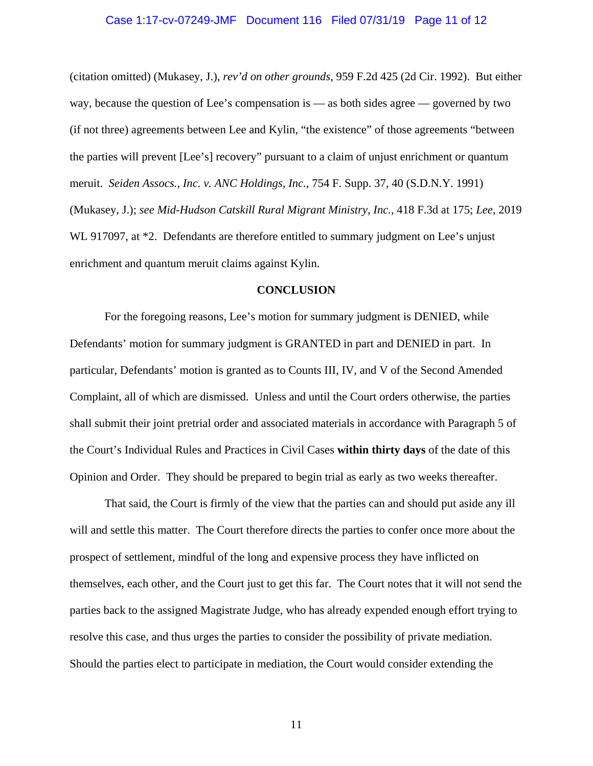## Case 1:17-cv-07249-JMF Document 116 Filed 07/31/19 Page 11 of 12

(citation omitted) (Mukasey, J.), *rev'd on other grounds*, 959 F.2d 425 (2d Cir. 1992). But either way, because the question of Lee's compensation is — as both sides agree — governed by two (if not three) agreements between Lee and Kylin, "the existence" of those agreements "between the parties will prevent [Lee's] recovery" pursuant to a claim of unjust enrichment or quantum meruit. *Seiden Assocs., Inc. v. ANC Holdings, Inc.*, 754 F. Supp. 37, 40 (S.D.N.Y. 1991) (Mukasey, J.); *see Mid-Hudson Catskill Rural Migrant Ministry, Inc.*, 418 F.3d at 175; *Lee*, 2019 WL 917097, at  $*2$ . Defendants are therefore entitled to summary judgment on Lee's unjust enrichment and quantum meruit claims against Kylin.

#### **CONCLUSION**

For the foregoing reasons, Lee's motion for summary judgment is DENIED, while Defendants' motion for summary judgment is GRANTED in part and DENIED in part. In particular, Defendants' motion is granted as to Counts III, IV, and V of the Second Amended Complaint, all of which are dismissed. Unless and until the Court orders otherwise, the parties shall submit their joint pretrial order and associated materials in accordance with Paragraph 5 of the Court's Individual Rules and Practices in Civil Cases **within thirty days** of the date of this Opinion and Order. They should be prepared to begin trial as early as two weeks thereafter.

That said, the Court is firmly of the view that the parties can and should put aside any ill will and settle this matter. The Court therefore directs the parties to confer once more about the prospect of settlement, mindful of the long and expensive process they have inflicted on themselves, each other, and the Court just to get this far. The Court notes that it will not send the parties back to the assigned Magistrate Judge, who has already expended enough effort trying to resolve this case, and thus urges the parties to consider the possibility of private mediation. Should the parties elect to participate in mediation, the Court would consider extending the